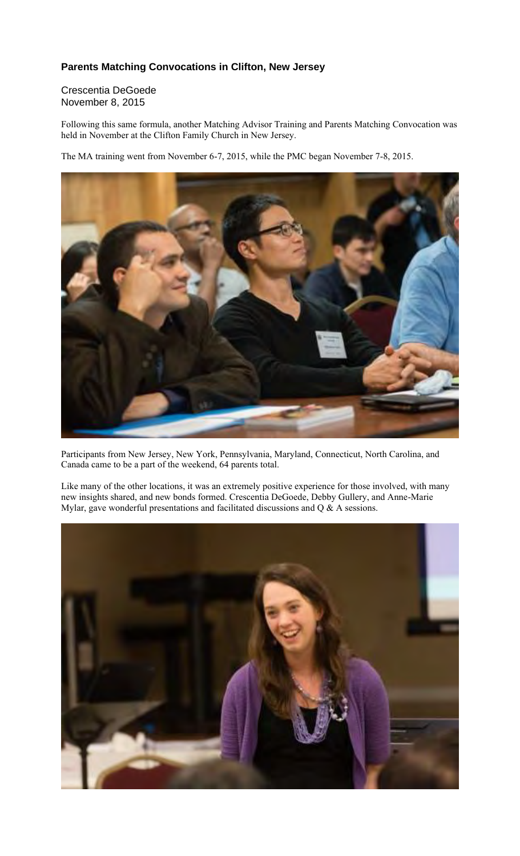## **Parents Matching Convocations in Clifton, New Jersey**

## Crescentia DeGoede November 8, 2015

Following this same formula, another Matching Advisor Training and Parents Matching Convocation was held in November at the Clifton Family Church in New Jersey.

The MA training went from November 6-7, 2015, while the PMC began November 7-8, 2015.



Participants from New Jersey, New York, Pennsylvania, Maryland, Connecticut, North Carolina, and Canada came to be a part of the weekend, 64 parents total.

Like many of the other locations, it was an extremely positive experience for those involved, with many new insights shared, and new bonds formed. Crescentia DeGoede, Debby Gullery, and Anne-Marie Mylar, gave wonderful presentations and facilitated discussions and Q & A sessions.

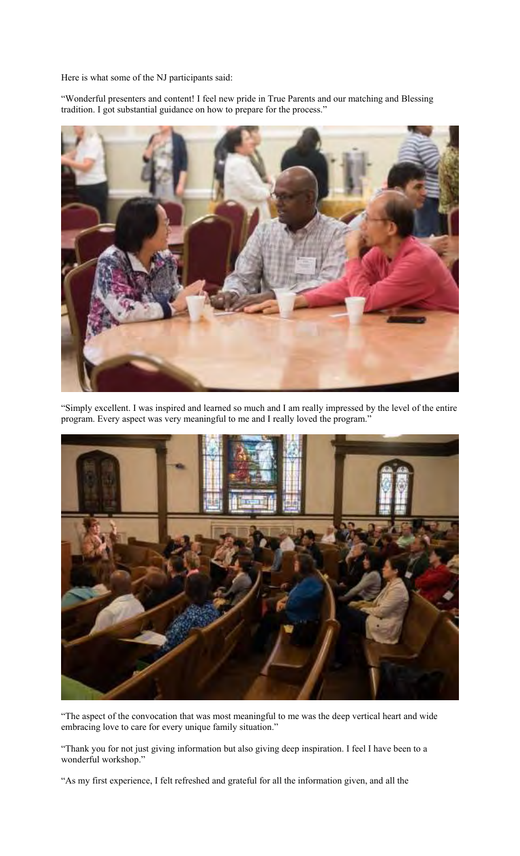Here is what some of the NJ participants said:

"Wonderful presenters and content! I feel new pride in True Parents and our matching and Blessing tradition. I got substantial guidance on how to prepare for the process."



"Simply excellent. I was inspired and learned so much and I am really impressed by the level of the entire program. Every aspect was very meaningful to me and I really loved the program."



"The aspect of the convocation that was most meaningful to me was the deep vertical heart and wide embracing love to care for every unique family situation."

"Thank you for not just giving information but also giving deep inspiration. I feel I have been to a wonderful workshop."

"As my first experience, I felt refreshed and grateful for all the information given, and all the